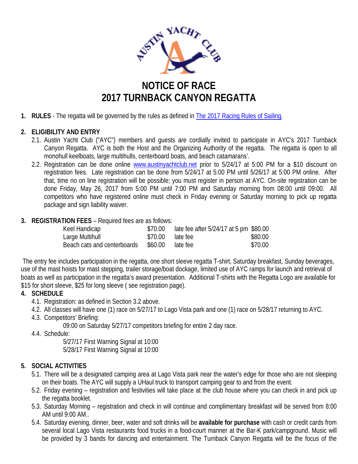

# **NOTICE OF RACE 2017 TURNBACK CANYON REGATTA**

**1. RULES** - The regatta will be governed by the rules as defined in The 2017 [Racing Rules of Sailing.](http://devf.sotic.net/tools/documents/RRS2005-2008-%5B502%5D.pdf?PHPSESSID=48d67d3f990b01ab633c56dcebe3742f)

## **2. ELIGIBILITY AND ENTRY**

- 2.1. Austin Yacht Club ("AYC") members and guests are cordially invited to participate in AYC's 2017 Turnback Canyon Regatta. AYC is both the Host and the Organizing Authority of the regatta. The regatta is open to all monohull keelboats, large multihulls, centerboard boats, and beach catamarans'.
- 2.2. Registration can be done online [www.austinyachtclub.net](http://www.austinyachtclub.net/) prior to 5/24/17 at 5:00 PM for a \$10 discount on registration fees. Late registration can be done from 5/24/17 at 5:00 PM until 5/26/17 at 5:00 PM online. After that, time no on line registration will be possible; you must register in person at AYC. On-site registration can be done Friday, May 26, 2017 from 5:00 PM until 7:00 PM and Saturday morning from 08:00 until 09:00. All competitors who have registered online must check in Friday evening or Saturday morning to pick up regatta package and sign liability waiver.

### **3. REGISTRATION FEES** – Required fees are as follows:

| Keel Handicap               | \$70.00 | late fee after 5/24/17 at 5 pm \$80.00 |         |
|-----------------------------|---------|----------------------------------------|---------|
| Large Multihull             | \$70.00 | late fee                               | \$80.00 |
| Beach cats and centerboards | \$60.00 | late fee                               | \$70.00 |

The entry fee includes participation in the regatta, one short sleeve regatta T-shirt, Saturday breakfast, Sunday beverages, use of the mast hoists for mast stepping, trailer storage/boat dockage, limited use of AYC ramps for launch and retrieval of boats as well as participation in the regatta's award presentation. Additional T-shirts with the Regatta Logo are available for \$15 for short sleeve, \$25 for long sleeve ( see registration page).

### **4. SCHEDULE**

- 4.1. Registration: as defined in Section 3.2 above.
- 4.2. All classes will have one (1) race on 5/27/17 to Lago Vista park and one (1) race on 5/28/17 returning to AYC.
- 4.3. Competitors' Briefing:
	- 09:00 on Saturday 5/27/17 competitors briefing for entire 2 day race.
- 4.4. Schedule:

5/27/17 First Warning Signal at 10:00 5/28/17 First Warning Signal at 10:00

### **5. SOCIAL ACTIVITIES**

- 5.1. There will be a designated camping area at Lago Vista park near the water's edge for those who are not sleeping on their boats. The AYC will supply a UHaul truck to transport camping gear to and from the event.
- 5.2. Friday evening registration and festivities will take place at the club house where you can check in and pick up the regatta booklet.
- 5.3. Saturday Morning registration and check in will continue and complimentary breakfast will be served from 8:00 AM until 9:00 AM..
- 5.4. Saturday evening, dinner, beer, water and soft drinks will be **available for purchase** with cash or credit cards from several local Lago Vista restaurants food trucks in a food-court manner at the Bar-K park/campground. Music will be provided by 3 bands for dancing and entertainment. The Turnback Canyon Regatta will be the focus of the